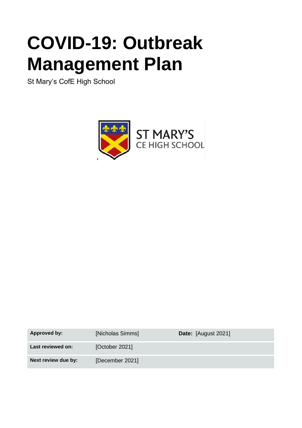# **COVID-19: Outbreak Management Plan**

St Mary's CofE High School



| Approved by:        | [Nicholas Simms] | Date: [August 2021] |
|---------------------|------------------|---------------------|
| Last reviewed on:   | [October 2021]   |                     |
| Next review due by: | [December 2021]  |                     |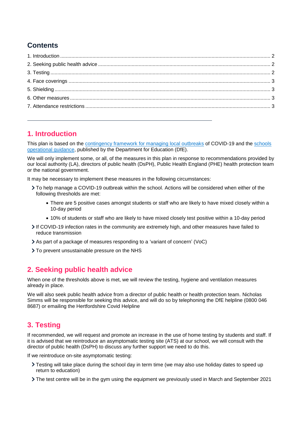# **Contents**

## <span id="page-1-0"></span>**1. Introduction**

This plan is based on the [contingency framework for managing local outbreaks](https://www.gov.uk/government/publications/coronavirus-covid-19-local-restrictions-in-education-and-childcare-settings) of COVID-19 and the [schools](https://www.gov.uk/government/publications/actions-for-schools-during-the-coronavirus-outbreak)  [operational guidance,](https://www.gov.uk/government/publications/actions-for-schools-during-the-coronavirus-outbreak) published by the Department for Education (DfE).

We will only implement some, or all, of the measures in this plan in response to recommendations provided by our local authority (LA), directors of public health (DsPH), Public Health England (PHE) health protection team or the national government.

It may be necessary to implement these measures in the following circumstances:

- To help manage a COVID-19 outbreak within the school. Actions will be considered when either of the following thresholds are met:
	- There are 5 positive cases amongst students or staff who are likely to have mixed closely within a 10-day period
	- 10% of students or staff who are likely to have mixed closely test positive within a 10-day period
- If COVID-19 infection rates in the community are extremely high, and other measures have failed to reduce transmission
- As part of a package of measures responding to a 'variant of concern' (VoC)
- > To prevent unsustainable pressure on the NHS

## <span id="page-1-1"></span>**2. Seeking public health advice**

When one of the thresholds above is met, we will review the testing, hygiene and ventilation measures already in place.

We will also seek public health advice from a director of public health or health protection team. Nicholas Simms will be responsible for seeking this advice, and will do so by telephoning the DfE helpline (0800 046 8687) or emailing the Hertfordshire Covid Helpline

## <span id="page-1-2"></span>**3. Testing**

If recommended, we will request and promote an increase in the use of home testing by students and staff. If it is advised that we reintroduce an asymptomatic testing site (ATS) at our school, we will consult with the director of public health (DsPH) to discuss any further support we need to do this.

If we reintroduce on-site asymptomatic testing:

- Testing will take place during the school day in term time (we may also use holiday dates to speed up return to education)
- The test centre will be in the gym using the equipment we previously used in March and September 2021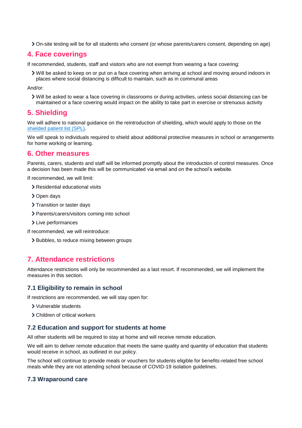On-site testing will be for all students who consent (or whose parents/carers consent, depending on age)

#### <span id="page-2-0"></span>**4. Face coverings**

If recommended, students, staff and visitors who are not exempt from wearing a face covering:

Will be asked to keep on or put on a face covering when arriving at school and moving around indoors in places where social distancing is difficult to maintain, such as in communal areas

And/or:

Will be asked to wear a face covering in classrooms or during activities, unless social distancing can be maintained or a face covering would impact on the ability to take part in exercise or strenuous activity

## <span id="page-2-1"></span>**5. Shielding**

We will adhere to national guidance on the reintroduction of shielding, which would apply to those on the shielded [patient list \(SPL\).](https://digital.nhs.uk/coronavirus/shielded-patient-list)

We will speak to individuals required to shield about additional protective measures in school or arrangements for home working or learning.

### <span id="page-2-2"></span>**6. Other measures**

Parents, carers, students and staff will be informed promptly about the introduction of control measures. Once a decision has been made this will be communicated via email and on the school's website.

If recommended, we will limit:

- > Residential educational visits
- > Open days
- > Transition or taster days
- > Parents/carers/visitors coming into school
- > Live performances

If recommended, we will reintroduce:

> Bubbles, to reduce mixing between groups

## <span id="page-2-3"></span>**7. Attendance restrictions**

Attendance restrictions will only be recommended as a last resort. If recommended, we will implement the measures in this section.

#### **7.1 Eligibility to remain in school**

If restrictions are recommended, we will stay open for:

- Vulnerable students
- Children of critical workers

#### **7.2 Education and support for students at home**

All other students will be required to stay at home and will receive remote education.

We will aim to deliver remote education that meets the same quality and quantity of education that students would receive in school, as outlined in our policy.

The school will continue to provide meals or vouchers for students eligible for benefits-related free school meals while they are not attending school because of COVID-19 isolation guidelines.

#### **7.3 Wraparound care**